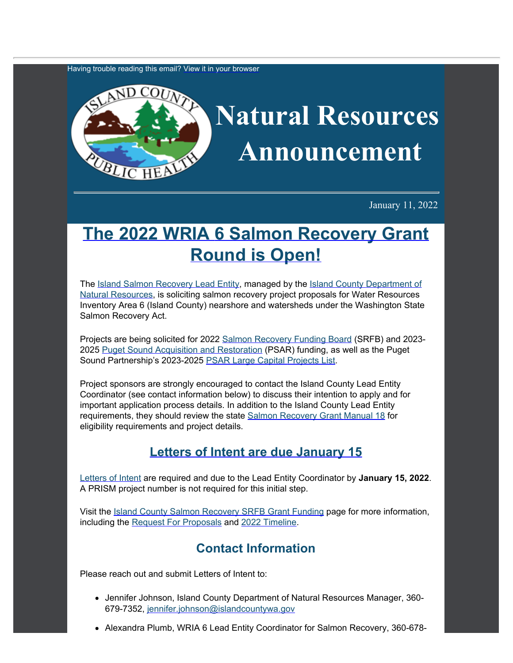Having trouble reading this email? [View](https://content.govdelivery.com/accounts/WACOISLAND/bulletins/3053401) [it in your browser](https://content.govdelivery.com/accounts/WACOISLAND/bulletins/3053401)



January 11, 2022

## **[The 2022 WRIA](https://www.islandcountywa.gov/Health/DNR/Salmon/Pages/SFRB-Grant-Funding.aspx?utm_content=&utm_medium=email&utm_name=&utm_source=govdelivery&utm_term=) [6 Salmon Recovery Grant](https://www.islandcountywa.gov/Health/DNR/Salmon/Pages/SFRB-Grant-Funding.aspx?utm_content=&utm_medium=email&utm_name=&utm_source=govdelivery&utm_term=) [Round is Open!](https://www.islandcountywa.gov/Health/DNR/Salmon/Pages/SFRB-Grant-Funding.aspx?utm_content=&utm_medium=email&utm_name=&utm_source=govdelivery&utm_term=)**

The [Island Salmon Recovery](https://www.islandcountywa.gov/Health/DNR/Salmon/Pages/Home.aspx?utm_content=&utm_medium=email&utm_name=&utm_source=govdelivery&utm_term=) [Lead Entity,](https://www.islandcountywa.gov/Health/DNR/Salmon/Pages/Home.aspx?utm_content=&utm_medium=email&utm_name=&utm_source=govdelivery&utm_term=) managed by the [Island County](https://www.islandcountywa.gov/health/dnr/Pages/Home.aspx?utm_content=&utm_medium=email&utm_name=&utm_source=govdelivery&utm_term=) [Department of](https://www.islandcountywa.gov/health/dnr/Pages/Home.aspx?utm_content=&utm_medium=email&utm_name=&utm_source=govdelivery&utm_term=) [Natural Resources](https://www.islandcountywa.gov/health/dnr/Pages/Home.aspx?utm_content=&utm_medium=email&utm_name=&utm_source=govdelivery&utm_term=), is soliciting salmon recovery project proposals for Water Resources Inventory Area 6 (Island County) nearshore and watersheds under the Washington State Salmon Recovery Act.

Projects are being solicited for 2022 [Salmon Recovery Funding](https://rco.wa.gov/boards/salmon-recovery-funding-board/?utm_content=&utm_medium=email&utm_name=&utm_source=govdelivery&utm_term=) [Board](https://rco.wa.gov/boards/salmon-recovery-funding-board/?utm_content=&utm_medium=email&utm_name=&utm_source=govdelivery&utm_term=) (SRFB) and 2023-2025 [Puget Sound Acquisition](https://www.psp.wa.gov/PSAR.php?utm_content=&utm_medium=email&utm_name=&utm_source=govdelivery&utm_term=) [and Restoration](https://www.psp.wa.gov/PSAR.php?utm_content=&utm_medium=email&utm_name=&utm_source=govdelivery&utm_term=) (PSAR) funding, as well as the Puget Sound Partnership's 2023-2025 [PSAR Large Capital](https://www.psp.wa.gov/PSAR-resources.php?utm_content=&utm_medium=email&utm_name=&utm_source=govdelivery&utm_term=) [Projects List](https://www.psp.wa.gov/PSAR-resources.php?utm_content=&utm_medium=email&utm_name=&utm_source=govdelivery&utm_term=).

Project sponsors are strongly encouraged to contact the Island County Lead Entity Coordinator (see contact information below) to discuss their intention to apply and for important application process details. In addition to the Island County Lead Entity requirements, they should review the state [Salmon Recovery Grant](https://rco.wa.gov/wp-content/uploads/2019/05/SAL-Manual18.pdf?utm_content=&utm_medium=email&utm_name=&utm_source=govdelivery&utm_term=) [Manual 18](https://rco.wa.gov/wp-content/uploads/2019/05/SAL-Manual18.pdf?utm_content=&utm_medium=email&utm_name=&utm_source=govdelivery&utm_term=) for eligibility requirements and project details.

## **[Letters of Intent are due January 15](https://content.govdelivery.com/attachments/WACOISLAND/2022/01/11/file_attachments/2044111/2022%20WRIA%206%20Letter%20of%20Intent%20Template_FINAL.docx)**

[Letters of Intent](https://content.govdelivery.com/attachments/WACOISLAND/2022/01/11/file_attachments/2044111/2022%20WRIA%206%20Letter%20of%20Intent%20Template_FINAL.docx) are required and due to the Lead Entity Coordinator by **January 15, 2022**. A PRISM project number is not required for this initial step.

Visit the [Island County Salmon](https://www.islandcountywa.gov/Health/DNR/Salmon/Pages/SFRB-Grant-Funding.aspx?utm_content=&utm_medium=email&utm_name=&utm_source=govdelivery&utm_term=) [Recovery SRFB Grant Funding](https://www.islandcountywa.gov/Health/DNR/Salmon/Pages/SFRB-Grant-Funding.aspx?utm_content=&utm_medium=email&utm_name=&utm_source=govdelivery&utm_term=) page for more information, including the [Request For Proposals](https://content.govdelivery.com/attachments/WACOISLAND/2022/01/11/file_attachments/2044167/2022%20Island%20LE%20RFP_FINAL.pdf) and [2022 Timeline](https://content.govdelivery.com/attachments/WACOISLAND/2022/01/11/file_attachments/2044228/2022%20timeline%20v1_FINAL.pdf).

## **Contact Information**

Please reach out and submit Letters of Intent to:

- Jennifer Johnson, Island County Department of Natural Resources Manager, 360-679-7352, [jennifer.johnson@islandcountywa.gov](mailto:jennifer.johnson@islandcountywa.gov)
- Alexandra Plumb, WRIA 6 Lead Entity Coordinator for Salmon Recovery, 360-678-